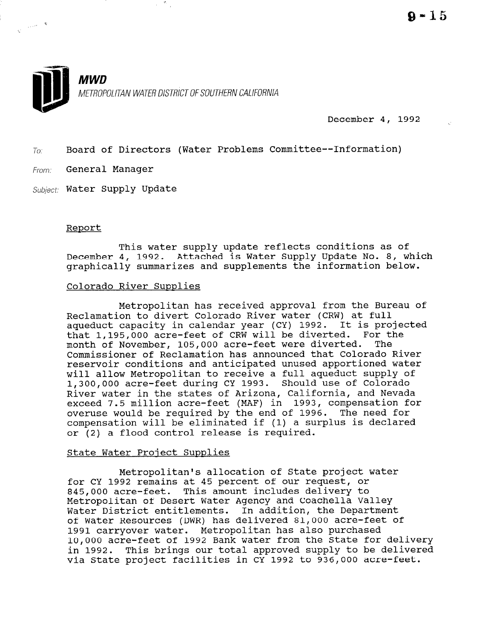

 $\frac{w_{\rm c}}{2}$  .

December 4, 1992

 $T_{0}$ : Board of Directors (Water Problems Committee--Information)

From: General Manager

 $\label{eq:zeta} \frac{1}{\zeta^2} \left( \frac{1}{\zeta^2} e^{i \phi \left( \theta \right)} \right) = \mathbf{R}$ 

Subject: Water Supply Update

#### Report

This water supply update reflects conditions as of December 4, 1992. Attached is Water Supply Update No. 8, which graphically summarizes and supplements the information below.

#### Colorado River Supplies

Metropolitan has received approval from the Bureau of Reclamation to divert Colorado River water (CRW) at full aqueduct capacity in calendar year (CY) 1992. It is projected that 1,195,OOO acre-feet of CRW will be diverted. For the month of November, 105,000 acre-feet were diverted. The Commissioner of Reclamation has announced that Colorado River reservoir conditions and anticipated unused apportioned water will allow Metropolitan to receive a full aqueduct supply of will allow methopolitan to lecelve a full aqueduct supply<br>1.300,000 acre-feet during CY 1993. Should use of Colorad River water in the states of Arizona, California, and Nevada exceed 7.5 million acre-feet (MAF) in 1993, compensation for overuse would be required by the end of 1996. The need for compensation will be eliminated if (1) a surplus is declared or (2) a flood control release is required.

#### State Water Project Supplies

Metropolitan's allocation of State project water for CY 1992 remains at 45 percent of our request, or FOF CY 1992 Femalus at 45 percent of our request, or 845,000 dCIE-1886. THIS dmount Includes defivery to Metropolitan of Desert Water Agency and Coachella Valley Water District entitlements. In addition, the Department of Water Resources (DWR) has delivered 81,000 acre-feet of<br>1991 carryover water. Metropolitan has also purchased 1991 Carryover water. Metropolitan has also purchased<br>10,000 acre-feet of 1992 Bank water from the State for delive in 1992. This brings our total approved supply to be delivered in 1992. This brings our total approved supply to be delivered<br>via State project facilities in CY 1992 to 936,000 acre-feet.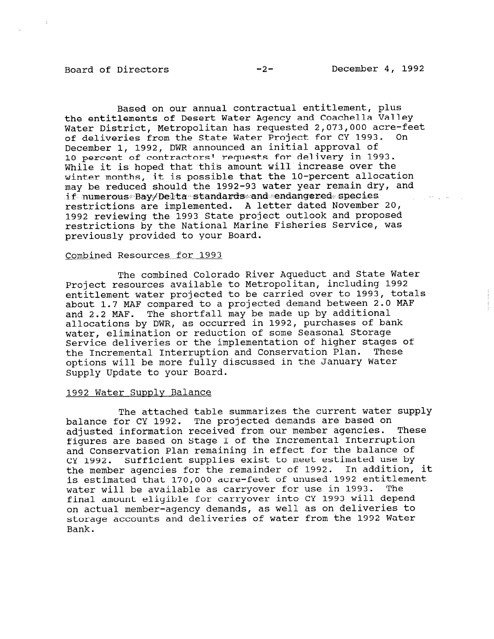Based on our annual contractual entitlement, plus the entitlements of Desert Water Agency and Coachella Valley Water District, Metropolitan has requested 2,073,000 acre-feet of deliveries from the State Water Project for CY 1993. On December 1, 1992, DWR announced an initial approval of 10 percent of contractors' requests for delivery in 1993. While it is hoped that this amount will increase over the winter months, it is possible that the lo-percent allocation may be reduced should the 1992-93 water year remain dry, and  $\cdot$ if  $\cdot$ numerous $\cdot$ Bay $\not$ De $1$ ta $\cdot$ standards $\cdot$ and $\cdot$ endangered $\cdot$ species, restrictions are implemented. A letter dated November 20, 1992 reviewing the 1993 State project outlook and proposed restrictions by the National Marine Fisheries Service, was previously provided to your Board.

#### Combined Resources for 1993

The combined Colorado River Aqueduct and State Water Project resources available to Metropolitan, including 1992 entitlement water projected to be carried over to 1993, totals about 1.7 MAF compared to a projected demand between 2.0 MAF and 2.2 MAF. The shortfall may be made up by additional allocations by DWR, as occurred in 1992, purchases of bank water, elimination or reduction of some Seasonal Storage Service deliveries or the implementation of higher stages of the Incremental Interruption and Conservation Plan. These options will be more fully discussed in the January Water Supply Update to your Board.

#### 1992 Water Supply Balance

The attached table summarizes the current water supply balance for CY 1992. The projected demands are based on adjusted information received from our member agencies. These figures are based on Stage I of the Incremental Interruption and Conservation Plan remaining in effect for the balance of CY 1992. Sufficient supplies exist to meet estimated use by the member agencies for the remainder of 1992. In addition, it is estimated that 170,000 acre-feet of unused 1992 entitlement water will be available as carryover for use in 1993. The final amount eligible for carryover into CY 1993 will depend on actual member-agency demands, as well as on deliveries to storage accounts and deliveries of water from the 1992 Water Bank.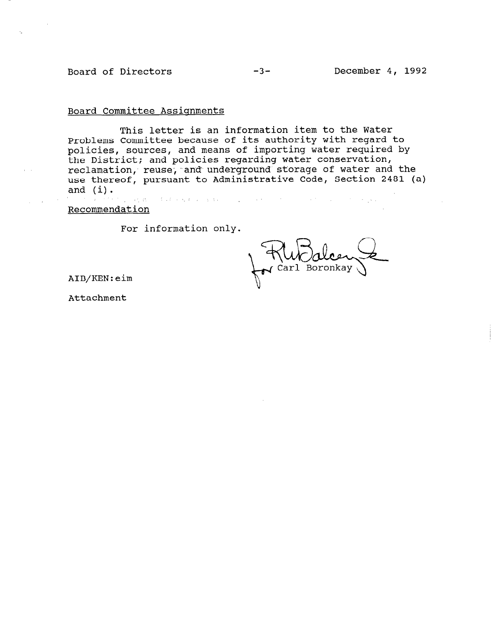### Board of Directors -3- December 4, 1992

#### Board Committee Assignments

This letter is an information item to the Water Problems Committee because of its authority with regard to policies, sources, and means of importing water required by the District; and policies regarding water conservation, reclamation, reuse, and underground storage of water and the use thereof, pursuant to Administrative Code, Section 2481 (a) and  $(i)$ . ,. , ,,m\_ :

Recommendation

For information only.

Carl Boronkay

AIB/KEN:eim

Attachment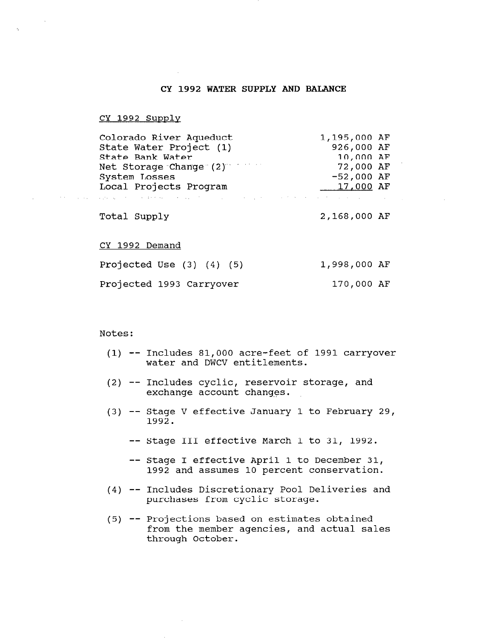#### CY 1992 WATER SUPPLY AND BALANCE

#### CY 1992 Supply

 $\tau_{\rm c}$ 

approaches the State of the Contractor

| Colorado River Aqueduct<br>State Water Project (1)                                                   | 1,195,000 AF<br>926,000 AF |  |
|------------------------------------------------------------------------------------------------------|----------------------------|--|
| State Bank Water                                                                                     | 10,000 AF                  |  |
| Net Storage Change (2) Net                                                                           | 72,000 AF                  |  |
| System Losses                                                                                        | $-52,000$ AF               |  |
| Local Projects Program                                                                               | 17,000 AF                  |  |
| 2014年1月11日,1月20日,1月20日,1月20日,1月20日,1月20日,1月20日,1月20日,1月20日,1月20日,1月20日,1月20日,1月20日,1月20日,1月20日,1月20日 |                            |  |
| Total Supply                                                                                         | 2,168,000 AF               |  |

#### CY 1992 Demand

| Projected Use $(3)$ $(4)$ $(5)$ |  |  | 1,998,000 AF |  |
|---------------------------------|--|--|--------------|--|
| Projected 1993 Carryover        |  |  | 170,000 AF   |  |

#### Notes :

- (1) -- Includes 81,000 acre-feet of 1991 carryover water and DWCV entitlements.
- (2) -- Includes cyclic, reservoir storage, and exchange account changes.
- (3) -- Stage V effective January 1 to February 29, 1992.
	- -- Stage III effective March 1 to 31, 1992.
	- -- Stage I effective April 1 to December 31, 1992 and assumes 10 percent conservation.
- (4) -- Includes Discretionary Pool Deliveries and purchases preciedionaly roof.<br>Includes preciedionaly roof.
- $(5)$  -- Projections based on estimates obtaine frojections based on estimates obtained<br>Courth agencies, acception and actual sale from the member agencies, and actual sales through October.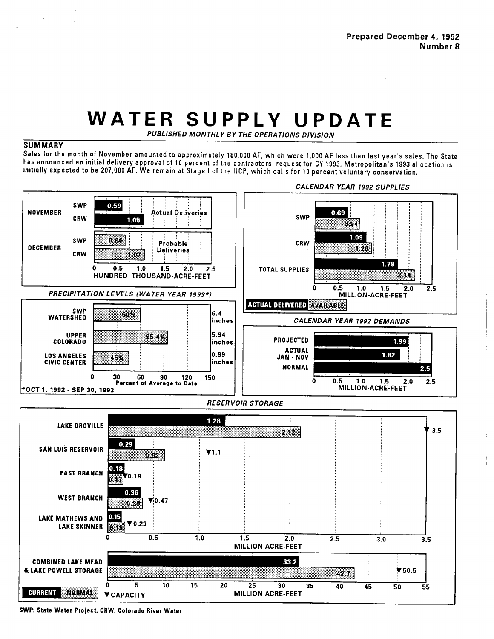## WATER SUPPLY UPDATE

PUBLISHED MONTHLY BY THE OPERATIONS DIVISION

#### **SUMMARY**

 $\frac{1}{2}$  ,  $\frac{1}{2}$  ,  $\frac{1}{2}$  ,  $\frac{1}{2}$ 

Sales for the month of November amounted to approximately 180,000 AF, which were 1,000 AF less than last year's sales. The State has announced an initial delivery approval of 10 percent of the contractors' request for CY 1993. Metropolitan's 1993 allocation is initially expected to be 207,000 AF. We remain at Stage | of the IICP, which calls for 10 percent voluntary conservation.



SWP: State Water Project, CRW: Colorado River Water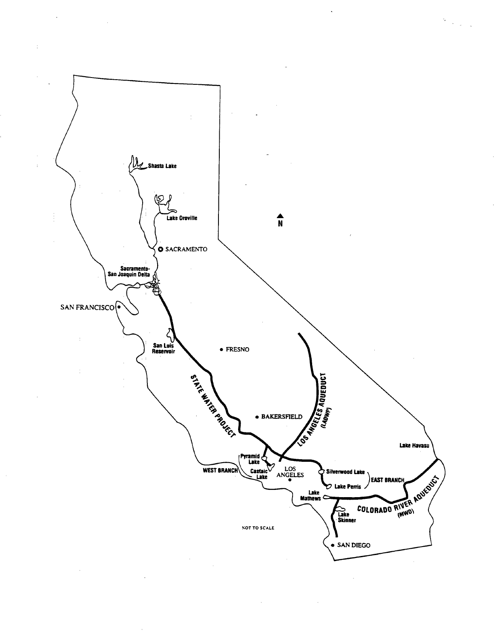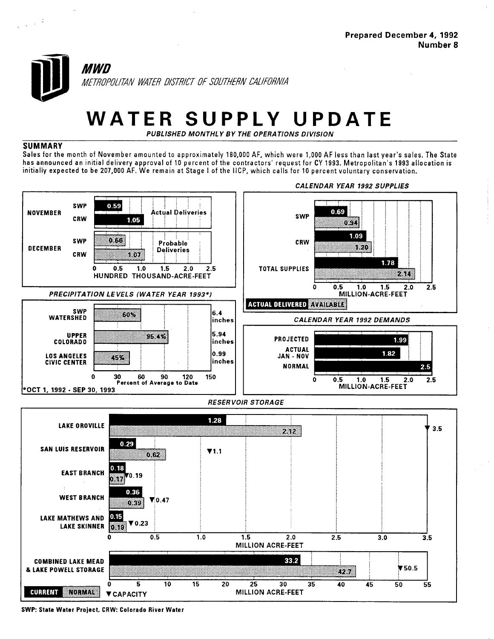

# WATER SUPPLY UPDATE

PUBLISHED MONTHLY BY THE OPERATIONS DIVISION

#### **SUMMARY**

Sales for the month of November amounted to approximately 180,000 AF, which were 1,000 AF less than last year's sales. The State has announced an initial delivery approval of 10 percent of the contractors' request for CY 1993. Metropolitan's 1993 allocation is initially expected to be 207,000 AF. We remain at Stage I of the IICP, which calls for 10 percent voluntary conservation.



SWP: State Water Project, CRW: Colorado River Water